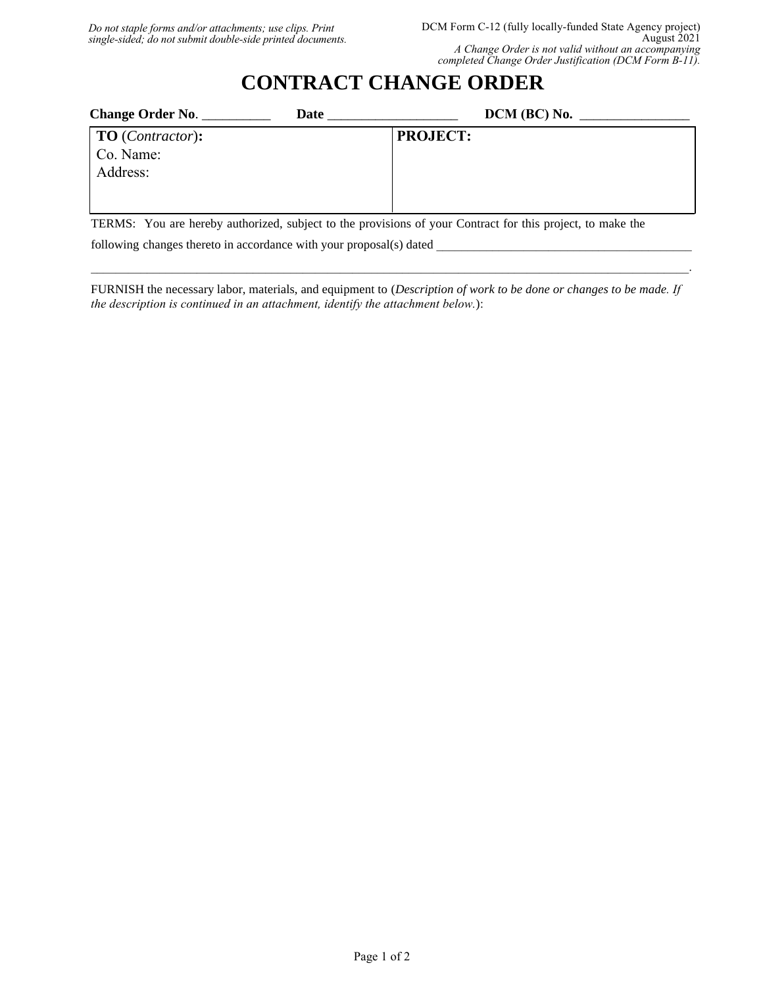## **CONTRACT CHANGE ORDER**

| Change Order No. __                                       | Date | $DCM$ (BC) No. __ |
|-----------------------------------------------------------|------|-------------------|
| <b>TO</b> ( <i>Contractor</i> ):<br>Co. Name:<br>Address: |      | <b>PROJECT:</b>   |

TERMS: You are hereby authorized, subject to the provisions of your Contract for this project, to make the

following changes thereto in accordance with your proposal(s) dated \_

FURNISH the necessary labor, materials, and equipment to (*Description of work to be done or changes to be made. If the description is continued in an attachment, identify the attachment below.*):

\_\_\_\_\_\_\_\_\_\_\_\_\_\_\_\_\_\_\_\_\_\_\_\_\_\_\_\_\_\_\_\_\_\_\_\_\_\_\_\_\_\_\_\_\_\_\_\_\_\_\_\_\_\_\_\_\_\_\_\_\_\_\_\_\_\_\_\_\_\_\_\_\_\_\_\_\_\_\_\_\_\_\_\_\_\_\_\_\_\_\_\_\_\_\_\_.